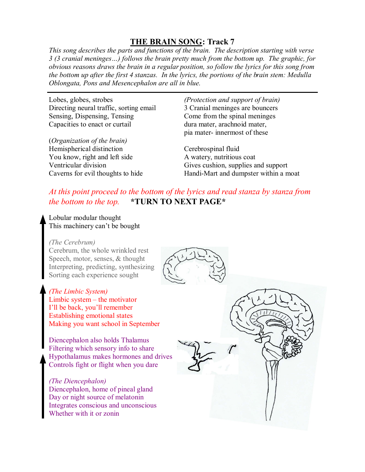### **THE BRAIN SONG: Track 7**

*This song describes the parts and functions of the brain. The description starting with verse 3 (3 cranial meninges…) follows the brain pretty much from the bottom up. The graphic, for obvious reasons draws the brain in a regular position, so follow the lyrics for this song from the bottom up after the first 4 stanzas. In the lyrics, the portions of the brain stem: Medulla Oblongata, Pons and Mesencephalon are all in blue.*

Lobes, globes, strobes Directing neural traffic, sorting email Sensing, Dispensing, Tensing Capacities to enact or curtail

(*Organization of the brain)* Hemispherical distinction You know, right and left side Ventricular division Caverns for evil thoughts to hide

*(Protection and support of brain)* 3 Cranial meninges are bouncers Come from the spinal meninges dura mater, arachnoid mater, pia mater- innermost of these

Cerebrospinal fluid A watery, nutritious coat Gives cushion, supplies and support Handi-Mart and dumpster within a moat

## *At this point proceed to the bottom of the lyrics and read stanza by stanza from the bottom to the top.* **\*TURN TO NEXT PAGE\***

Lobular modular thought This machinery can't be bought

#### *(The Cerebrum)*

Cerebrum, the whole wrinkled rest Speech, motor, senses, & thought Interpreting, predicting, synthesizing Sorting each experience sought

#### *(The Limbic System)*

Limbic system – the motivator I'll be back, you'll remember Establishing emotional states Making you want school in September

Diencephalon also holds Thalamus Filtering which sensory info to share Hypothalamus makes hormones and drives Controls fight or flight when you dare

#### *(The Diencephalon)*

Diencephalon, home of pineal gland Day or night source of melatonin Integrates conscious and unconscious Whether with it or zonin